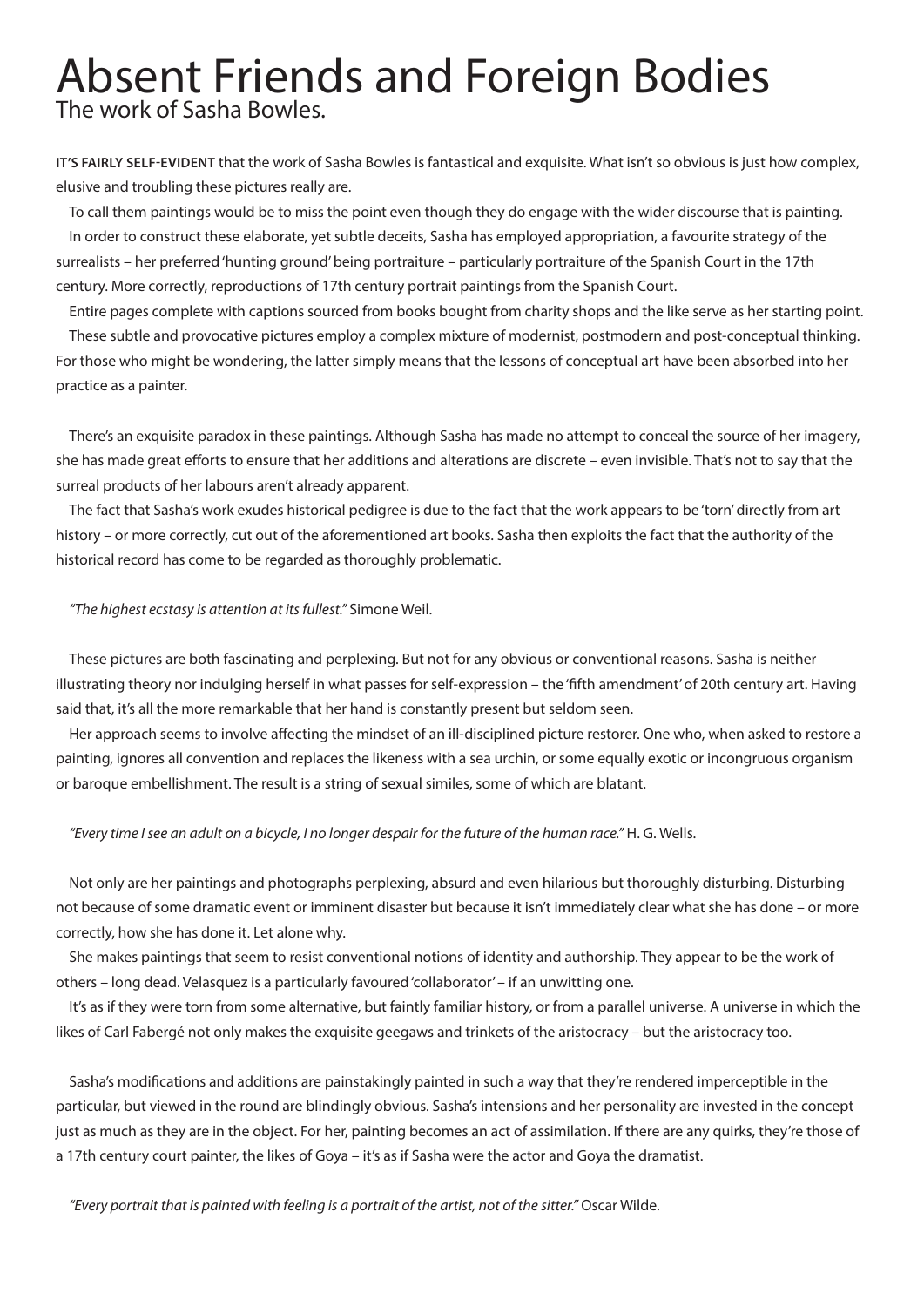## Absent Friends and Foreign Bodies The work of Sasha Bowles.

**IT'S FAIRLY SELF-EVIDENT** that the work of Sasha Bowles is fantastical and exquisite. What isn't so obvious is just how complex, elusive and troubling these pictures really are.

To call them paintings would be to miss the point even though they do engage with the wider discourse that is painting. In order to construct these elaborate, yet subtle deceits, Sasha has employed appropriation, a favourite strategy of the surrealists – her preferred 'hunting ground' being portraiture – particularly portraiture of the Spanish Court in the 17th century. More correctly, reproductions of 17th century portrait paintings from the Spanish Court.

Entire pages complete with captions sourced from books bought from charity shops and the like serve as her starting point. These subtle and provocative pictures employ a complex mixture of modernist, postmodern and post-conceptual thinking. For those who might be wondering, the latter simply means that the lessons of conceptual art have been absorbed into her practice as a painter.

There's an exquisite paradox in these paintings. Although Sasha has made no attempt to conceal the source of her imagery, she has made great efforts to ensure that her additions and alterations are discrete – even invisible. That's not to say that the surreal products of her labours aren't already apparent.

The fact that Sasha's work exudes historical pedigree is due to the fact that the work appears to be 'torn' directly from art history – or more correctly, cut out of the aforementioned art books. Sasha then exploits the fact that the authority of the historical record has come to be regarded as thoroughly problematic.

## *"The highest ecstasy is attention at its fullest."* Simone Weil.

These pictures are both fascinating and perplexing. But not for any obvious or conventional reasons. Sasha is neither illustrating theory nor indulging herself in what passes for self-expression – the 'fifth amendment' of 20th century art. Having said that, it's all the more remarkable that her hand is constantly present but seldom seen.

Her approach seems to involve affecting the mindset of an ill-disciplined picture restorer. One who, when asked to restore a painting, ignores all convention and replaces the likeness with a sea urchin, or some equally exotic or incongruous organism or baroque embellishment. The result is a string of sexual similes, some of which are blatant.

*"Every time I see an adult on a bicycle, I no longer despair for the future of the human race."* H. G. Wells.

Not only are her paintings and photographs perplexing, absurd and even hilarious but thoroughly disturbing. Disturbing not because of some dramatic event or imminent disaster but because it isn't immediately clear what she has done – or more correctly, how she has done it. Let alone why.

She makes paintings that seem to resist conventional notions of identity and authorship. They appear to be the work of others – long dead. Velasquez is a particularly favoured 'collaborator' – if an unwitting one.

It's as if they were torn from some alternative, but faintly familiar history, or from a parallel universe. A universe in which the likes of Carl Fabergé not only makes the exquisite geegaws and trinkets of the aristocracy – but the aristocracy too.

Sasha's modifications and additions are painstakingly painted in such a way that they're rendered imperceptible in the particular, but viewed in the round are blindingly obvious. Sasha's intensions and her personality are invested in the concept just as much as they are in the object. For her, painting becomes an act of assimilation. If there are any quirks, they're those of a 17th century court painter, the likes of Goya – it's as if Sasha were the actor and Goya the dramatist.

*"Every portrait that is painted with feeling is a portrait of the artist, not of the sitter."* Oscar Wilde.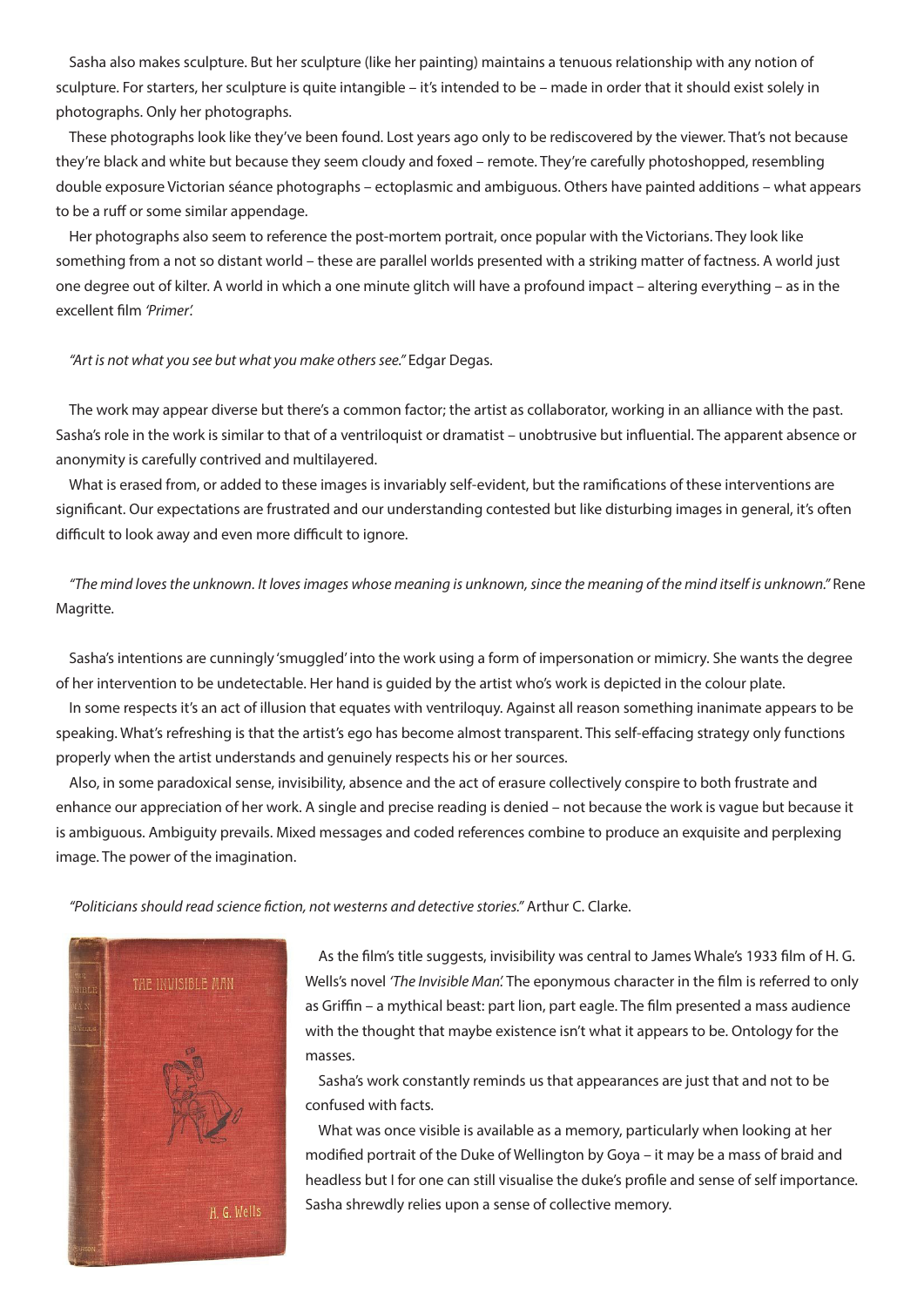Sasha also makes sculpture. But her sculpture (like her painting) maintains a tenuous relationship with any notion of sculpture. For starters, her sculpture is quite intangible – it's intended to be – made in order that it should exist solely in photographs. Only her photographs.

These photographs look like they've been found. Lost years ago only to be rediscovered by the viewer. That's not because they're black and white but because they seem cloudy and foxed – remote. They're carefully photoshopped, resembling double exposure Victorian séance photographs – ectoplasmic and ambiguous. Others have painted additions – what appears to be a ruff or some similar appendage.

Her photographs also seem to reference the post-mortem portrait, once popular with the Victorians. They look like something from a not so distant world – these are parallel worlds presented with a striking matter of factness. A world just one degree out of kilter. A world in which a one minute glitch will have a profound impact – altering everything – as in the excellent film *'Primer'.*

## *"Art is not what you see but what you make others see."* Edgar Degas.

The work may appear diverse but there's a common factor; the artist as collaborator, working in an alliance with the past. Sasha's role in the work is similar to that of a ventriloquist or dramatist – unobtrusive but influential. The apparent absence or anonymity is carefully contrived and multilayered.

What is erased from, or added to these images is invariably self-evident, but the ramifications of these interventions are significant. Our expectations are frustrated and our understanding contested but like disturbing images in general, it's often difficult to look away and even more difficult to ignore.

*"The mind loves the unknown. It loves images whose meaning is unknown, since the meaning of the mind itself is unknown."* Rene Magritte.

Sasha's intentions are cunningly 'smuggled' into the work using a form of impersonation or mimicry. She wants the degree of her intervention to be undetectable. Her hand is guided by the artist who's work is depicted in the colour plate.

In some respects it's an act of illusion that equates with ventriloquy. Against all reason something inanimate appears to be speaking. What's refreshing is that the artist's ego has become almost transparent. This self-effacing strategy only functions properly when the artist understands and genuinely respects his or her sources.

Also, in some paradoxical sense, invisibility, absence and the act of erasure collectively conspire to both frustrate and enhance our appreciation of her work. A single and precise reading is denied – not because the work is vague but because it is ambiguous. Ambiguity prevails. Mixed messages and coded references combine to produce an exquisite and perplexing image. The power of the imagination.

*"Politicians should read science fiction, not westerns and detective stories."* Arthur C. Clarke.



As the film's title suggests, invisibility was central to James Whale's 1933 film of H. G. Wells's novel *'The Invisible Man'.* The eponymous character in the film is referred to only as Griffin – a mythical beast: part lion, part eagle. The film presented a mass audience with the thought that maybe existence isn't what it appears to be. Ontology for the masses.

Sasha's work constantly reminds us that appearances are just that and not to be confused with facts.

What was once visible is available as a memory, particularly when looking at her modified portrait of the Duke of Wellington by Goya – it may be a mass of braid and headless but I for one can still visualise the duke's profile and sense of self importance. Sasha shrewdly relies upon a sense of collective memory.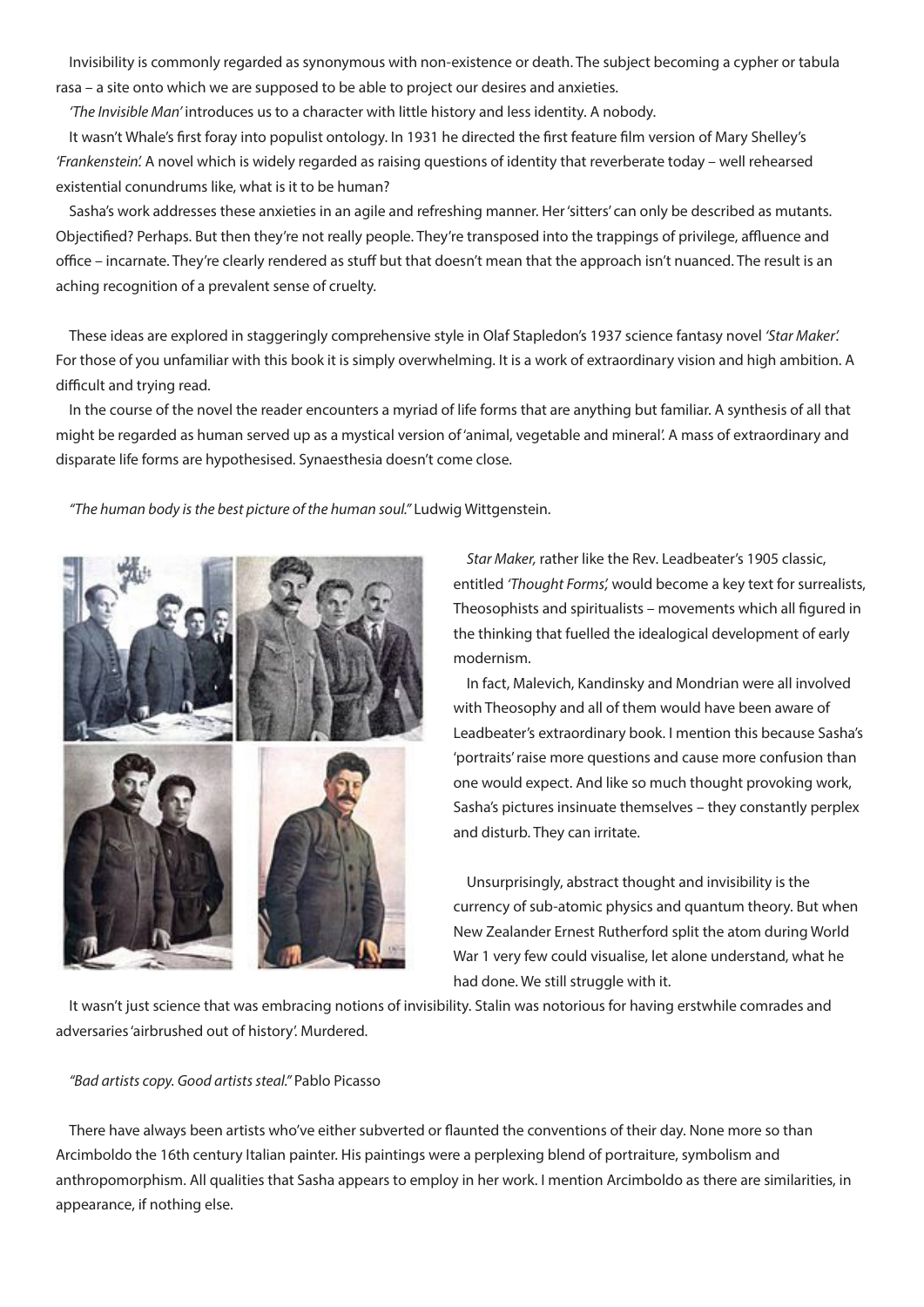Invisibility is commonly regarded as synonymous with non-existence or death. The subject becoming a cypher or tabula rasa – a site onto which we are supposed to be able to project our desires and anxieties.

*'The Invisible Man'* introduces us to a character with little history and less identity. A nobody.

It wasn't Whale's first foray into populist ontology. In 1931 he directed the first feature film version of Mary Shelley's *'Frankenstein'.* A novel which is widely regarded as raising questions of identity that reverberate today – well rehearsed existential conundrums like, what is it to be human?

Sasha's work addresses these anxieties in an agile and refreshing manner. Her 'sitters' can only be described as mutants. Objectified? Perhaps. But then they're not really people. They're transposed into the trappings of privilege, affluence and office – incarnate. They're clearly rendered as stuff but that doesn't mean that the approach isn't nuanced. The result is an aching recognition of a prevalent sense of cruelty.

These ideas are explored in staggeringly comprehensive style in Olaf Stapledon's 1937 science fantasy novel *'Star Maker'.* For those of you unfamiliar with this book it is simply overwhelming. It is a work of extraordinary vision and high ambition. A difficult and trying read.

In the course of the novel the reader encounters a myriad of life forms that are anything but familiar. A synthesis of all that might be regarded as human served up as a mystical version of 'animal, vegetable and mineral'. A mass of extraordinary and disparate life forms are hypothesised. Synaesthesia doesn't come close.

*"The human body is the best picture of the human soul."* Ludwig Wittgenstein.



*Star Maker,* rather like the Rev. Leadbeater's 1905 classic, entitled *'Thought Forms',* would become a key text for surrealists, Theosophists and spiritualists – movements which all figured in the thinking that fuelled the idealogical development of early modernism.

In fact, Malevich, Kandinsky and Mondrian were all involved with Theosophy and all of them would have been aware of Leadbeater's extraordinary book. I mention this because Sasha's 'portraits' raise more questions and cause more confusion than one would expect. And like so much thought provoking work, Sasha's pictures insinuate themselves – they constantly perplex and disturb. They can irritate.

Unsurprisingly, abstract thought and invisibility is the currency of sub-atomic physics and quantum theory. But when New Zealander Ernest Rutherford split the atom during World War 1 very few could visualise, let alone understand, what he had done. We still struggle with it.

It wasn't just science that was embracing notions of invisibility. Stalin was notorious for having erstwhile comrades and adversaries 'airbrushed out of history'. Murdered.

## *"Bad artists copy. Good artists steal."* Pablo Picasso

There have always been artists who've either subverted or flaunted the conventions of their day. None more so than Arcimboldo the 16th century Italian painter. His paintings were a perplexing blend of portraiture, symbolism and anthropomorphism. All qualities that Sasha appears to employ in her work. I mention Arcimboldo as there are similarities, in appearance, if nothing else.